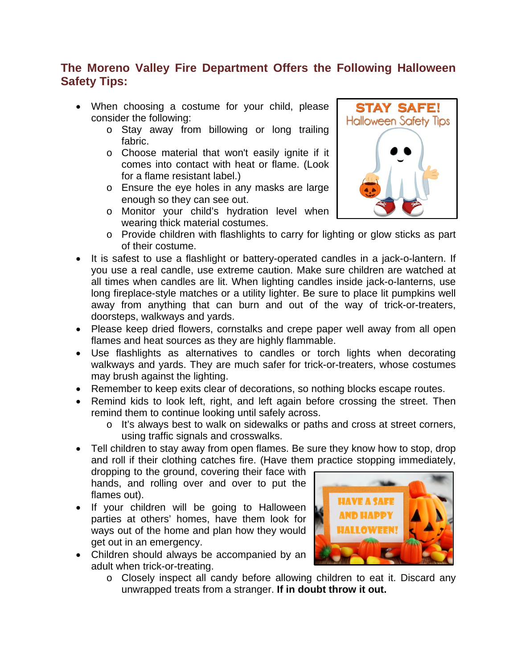# **The Moreno Valley Fire Department Offers the Following Halloween Safety Tips:**

- When choosing a costume for your child, please consider the following:
	- o Stay away from billowing or long trailing fabric.
	- o Choose material that won't easily ignite if it comes into contact with heat or flame. (Look for a flame resistant label.)
	- o Ensure the eye holes in any masks are large enough so they can see out.
	- o Monitor your child's hydration level when wearing thick material costumes.



- o Provide children with flashlights to carry for lighting or glow sticks as part of their costume.
- It is safest to use a flashlight or battery-operated candles in a jack-o-lantern. If you use a real candle, use extreme caution. Make sure children are watched at all times when candles are lit. When lighting candles inside jack-o-lanterns, use long fireplace-style matches or a utility lighter. Be sure to place lit pumpkins well away from anything that can burn and out of the way of trick-or-treaters, doorsteps, walkways and yards.
- Please keep dried flowers, cornstalks and crepe paper well away from all open flames and heat sources as they are highly flammable.
- Use flashlights as alternatives to candles or torch lights when decorating walkways and yards. They are much safer for trick-or-treaters, whose costumes may brush against the lighting.
- Remember to keep exits clear of decorations, so nothing blocks escape routes.
- Remind kids to look left, right, and left again before crossing the street. Then remind them to continue looking until safely across.
	- o It's always best to walk on sidewalks or paths and cross at street corners, using traffic signals and crosswalks.
- Tell children to stay away from open flames. Be sure they know how to stop, drop and roll if their clothing catches fire. (Have them practice stopping immediately,

dropping to the ground, covering their face with hands, and rolling over and over to put the flames out).

- If your children will be going to Halloween parties at others' homes, have them look for ways out of the home and plan how they would get out in an emergency.
- Children should always be accompanied by an adult when trick-or-treating.
- **HAVE A SAFE OWEEN!**
- o Closely inspect all candy before allowing children to eat it. Discard any unwrapped treats from a stranger. **If in doubt throw it out.**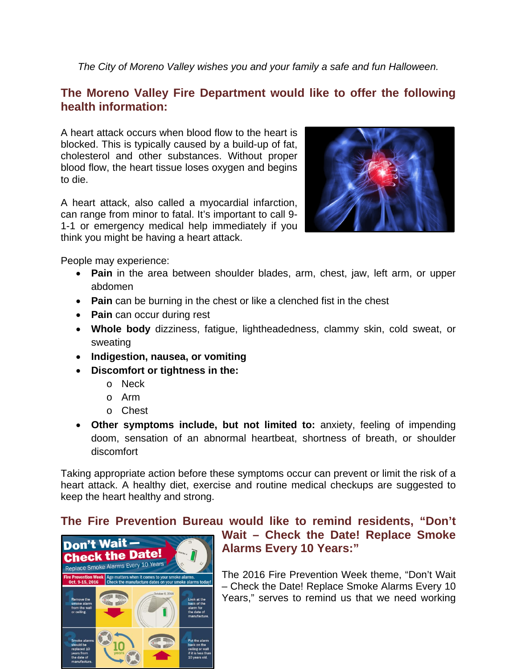*The City of Moreno Valley wishes you and your family a safe and fun Halloween.*

## **The Moreno Valley Fire Department would like to offer the following health information:**

A heart attack occurs when blood flow to the heart is blocked. This is typically caused by a build-up of fat, cholesterol and other substances. Without proper blood flow, the heart tissue loses oxygen and begins to die.

A heart attack, also called a myocardial infarction, can range from minor to fatal. It's important to call 9- 1-1 or emergency medical help immediately if you think you might be having a heart attack.



People may experience:

- **Pain** in the area between shoulder blades, arm, chest, jaw, left arm, or upper abdomen
- **Pain** can be burning in the chest or like a clenched fist in the chest
- **Pain** can occur during rest
- **Whole body** dizziness, fatigue, lightheadedness, clammy skin, cold sweat, or sweating
- **Indigestion, nausea, or vomiting**
- **Discomfort or tightness in the:** 
	- o Neck
	- o Arm
	- o Chest
- **Other symptoms include, but not limited to:** anxiety, feeling of impending doom, sensation of an abnormal heartbeat, shortness of breath, or shoulder discomfort

Taking appropriate action before these symptoms occur can prevent or limit the risk of a heart attack. A healthy diet, exercise and routine medical checkups are suggested to keep the heart healthy and strong.

## **The Fire Prevention Bureau would like to remind residents, "Don't**



# **Wait – Check the Date! Replace Smoke Alarms Every 10 Years:"**

The 2016 Fire Prevention Week theme, "Don't Wait – Check the Date! Replace Smoke Alarms Every 10 Years," serves to remind us that we need working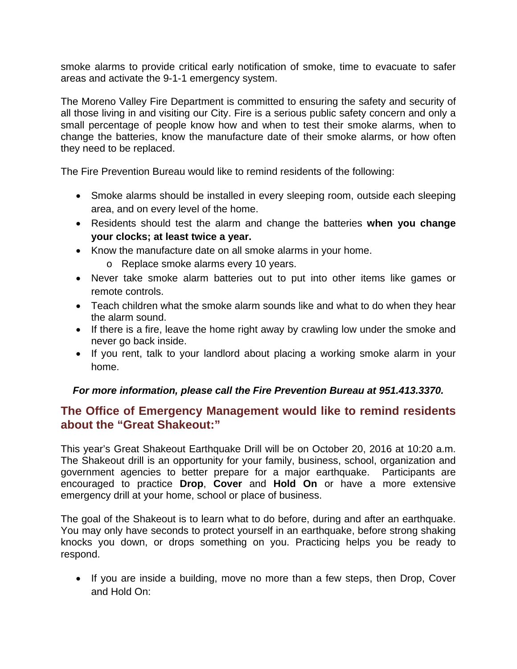smoke alarms to provide critical early notification of smoke, time to evacuate to safer areas and activate the 9-1-1 emergency system.

The Moreno Valley Fire Department is committed to ensuring the safety and security of all those living in and visiting our City. Fire is a serious public safety concern and only a small percentage of people know how and when to test their smoke alarms, when to change the batteries, know the manufacture date of their smoke alarms, or how often they need to be replaced.

The Fire Prevention Bureau would like to remind residents of the following:

- Smoke alarms should be installed in every sleeping room, outside each sleeping area, and on every level of the home.
- Residents should test the alarm and change the batteries **when you change your clocks; at least twice a year.**
- Know the manufacture date on all smoke alarms in your home.
	- o Replace smoke alarms every 10 years.
- Never take smoke alarm batteries out to put into other items like games or remote controls.
- Teach children what the smoke alarm sounds like and what to do when they hear the alarm sound.
- If there is a fire, leave the home right away by crawling low under the smoke and never go back inside.
- If you rent, talk to your landlord about placing a working smoke alarm in your home.

#### *For more information, please call the Fire Prevention Bureau at 951.413.3370.*

### **The Office of Emergency Management would like to remind residents about the "Great Shakeout:"**

This year's Great Shakeout Earthquake Drill will be on October 20, 2016 at 10:20 a.m. The Shakeout drill is an opportunity for your family, business, school, organization and government agencies to better prepare for a major earthquake. Participants are encouraged to practice **Drop**, **Cover** and **Hold On** or have a more extensive emergency drill at your home, school or place of business.

The goal of the Shakeout is to learn what to do before, during and after an earthquake. You may only have seconds to protect yourself in an earthquake, before strong shaking knocks you down, or drops something on you. Practicing helps you be ready to respond.

• If you are inside a building, move no more than a few steps, then Drop, Cover and Hold On: